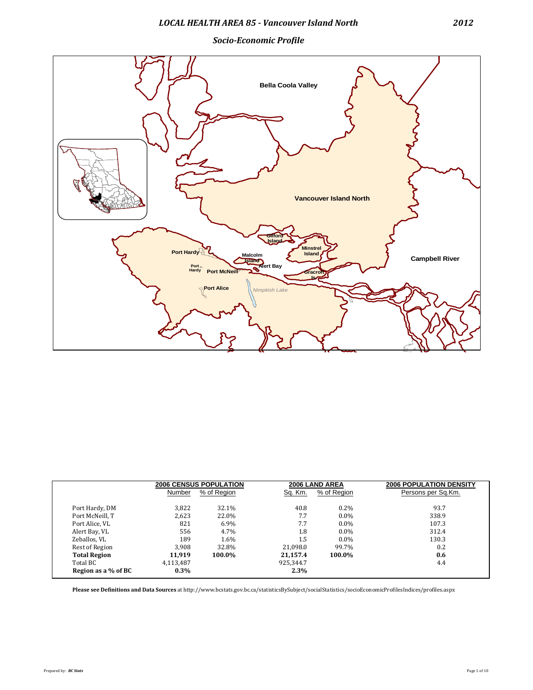*Socio-Economic Profile*



|                     |           | <b>2006 CENSUS POPULATION</b> |           | 2006 LAND AREA | <b>2006 POPULATION DENSITY</b> |
|---------------------|-----------|-------------------------------|-----------|----------------|--------------------------------|
|                     | Number    | % of Region                   | Sq. Km.   | % of Region    | Persons per Sq.Km.             |
| Port Hardy, DM      | 3,822     | 32.1%                         | 40.8      | $0.2\%$        | 93.7                           |
| Port McNeill, T     | 2.623     | 22.0%                         | 7.7       | $0.0\%$        | 338.9                          |
| Port Alice, VL      | 821       | $6.9\%$                       | 7.7       | $0.0\%$        | 107.3                          |
| Alert Bay, VL       | 556       | 4.7%                          | 1.8       | $0.0\%$        | 312.4                          |
| Zeballos, VL        | 189       | 1.6%                          | 1.5       | $0.0\%$        | 130.3                          |
| Rest of Region      | 3.908     | 32.8%                         | 21.098.0  | 99.7%          | 0.2                            |
| <b>Total Region</b> | 11.919    | 100.0%                        | 21.157.4  | 100.0%         | 0.6                            |
| Total BC            | 4,113,487 |                               | 925.344.7 |                | 4.4                            |
| Region as a % of BC | $0.3\%$   |                               | 2.3%      |                |                                |

**Please see Definitions and Data Sources** at http://www.bcstats.gov.bc.ca/statisticsBySubject/socialStatistics/socioEconomicProfilesIndices/profiles.aspx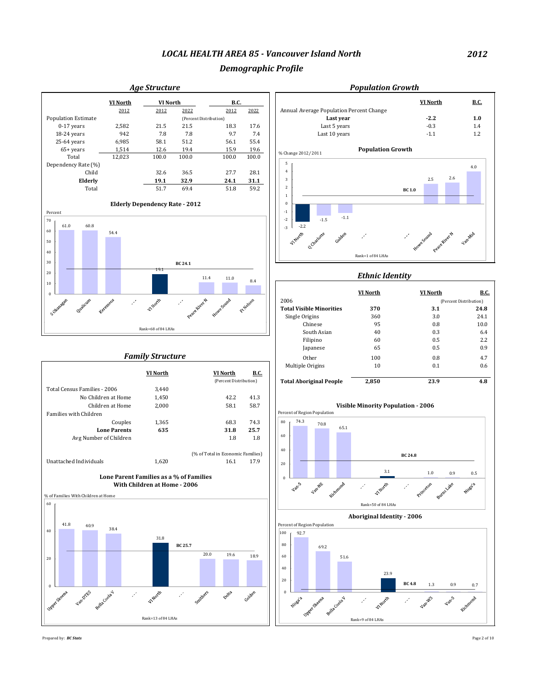## *Demographic Profile*



Prepared by: *BC Stats* Page 2 of 10

## *2012*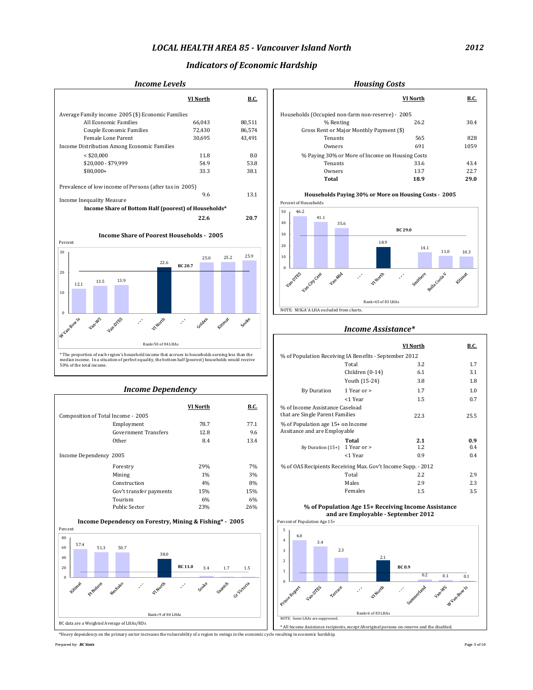## *Indicators of Economic Hardship*

### *Income Levels Income Levels Income Levels*

|                                                                                                     | VI North          | <b>B.C.</b>  |                                                        | <b>VI North</b>        | B.C.    |
|-----------------------------------------------------------------------------------------------------|-------------------|--------------|--------------------------------------------------------|------------------------|---------|
| Average Family income 2005 (\$) Economic Families                                                   |                   |              | Households (Occupied non-farm non-reserve) - 2005      |                        |         |
| All Economic Families                                                                               | 66.043            | 80,511       | % Renting                                              | 26.2                   | 30.4    |
| <b>Couple Economic Families</b>                                                                     | 72,430            | 86,574       | Gross Rent or Major Monthly Payment (\$)               |                        |         |
| Female Lone Parent                                                                                  | 30,695            | 43,491       | Tenants                                                | 565                    | 828     |
| Income Distribution Among Economic Families                                                         |                   |              | Owners                                                 | 691                    | 1059    |
| $<$ \$20,000                                                                                        | 11.8              | 8.0          | % Paying 30% or More of Income on Housing Costs        |                        |         |
| \$20,000 - \$79,999                                                                                 | 54.9              | 53.8         | Tenants                                                | 33.6                   | 43.4    |
| \$80.000+                                                                                           | 33.3              | 38.1         | Owners                                                 | 13.7                   | 22.7    |
|                                                                                                     |                   |              | <b>Total</b>                                           | 18.9                   | 29.0    |
| Prevalence of low income of Persons (after tax in 2005)                                             |                   |              |                                                        |                        |         |
| <b>Income Inequality Measure</b>                                                                    | 9.6               | 13.1         | Households Paying 30% or More on Housing Costs - 2005  |                        |         |
| Income Share of Bottom Half (poorest) of Households*                                                |                   |              | Percent of Households                                  |                        |         |
|                                                                                                     |                   |              | 50<br>46.2                                             |                        |         |
|                                                                                                     | 22.6              | 20.7         | 41.1<br>40<br>35.6                                     |                        |         |
|                                                                                                     |                   |              | 30                                                     | <b>BC 29.0</b>         |         |
| <b>Income Share of Poorest Households - 2005</b><br>Percent                                         |                   |              | 18.9                                                   |                        |         |
|                                                                                                     |                   |              | 20                                                     | 14.1                   | 11.0    |
| 30                                                                                                  | 25.0              | 25.9<br>25.2 | 10                                                     |                        | 10.3    |
| 22.6                                                                                                | <b>BC 20.7</b>    |              | $\Omega$                                               |                        |         |
| 20                                                                                                  |                   |              |                                                        |                        |         |
| 13.9<br>13.5<br>12.1                                                                                |                   |              | Van Ores Vancid Cent Van Nich<br><b>Wheath</b>         | Smithers gella Coola V | Kitimax |
| 10                                                                                                  |                   |              |                                                        |                        |         |
|                                                                                                     |                   |              |                                                        |                        |         |
|                                                                                                     |                   |              | Rank=65 of 83 LHAs                                     |                        |         |
| $\Omega$                                                                                            |                   |              | NOTE: NISGA'A LHA excluded from charts.                |                        |         |
| Vanille Vandites<br><b>WHOTE</b>                                                                    | Kitinat<br>Golden | Socke        |                                                        |                        |         |
| Wuanzowi Is                                                                                         |                   |              | Income Assistance*                                     |                        |         |
| Rank=50 of 84 LHAs                                                                                  |                   |              |                                                        | <b>VI North</b>        | B.C.    |
| * The proportion of each region's household income that accrues to households earning less than the |                   |              | % of Population Receiving IA Benefits - September 2012 |                        |         |

| <b>Income Dependency</b>           | By Duration<br>1 Year or |             |                                                                               |
|------------------------------------|--------------------------|-------------|-------------------------------------------------------------------------------|
| Composition of Total Income - 2005 | <b>VI North</b>          | <b>B.C.</b> | <1 Year<br>% of Income Assistance Caseload<br>that are Single Parent Families |
| Employment                         | 78.7                     | 77.1        | % of Population age 15+ on Income                                             |
| <b>Government Transfers</b>        | 12.8                     | 9.6         | Assitance and are Employable                                                  |
| Other                              | 8.4                      | 13.4        | Total<br>1 Year or<br>By Duration $(15+)$                                     |
| Income Dependency 2005             |                          |             | <1 Year                                                                       |
| Forestry                           | 29%                      | 7%          | % of OAS Recipients Receiving Max.                                            |
| Mining                             | $1\%$                    | 3%          | Total                                                                         |
| Construction                       | 4%                       | 8%          | Males                                                                         |
| Gov't transfer payments            | 15%                      | 15%         | Females                                                                       |
| Tourism                            | 6%                       | 6%          |                                                                               |
| Public Sector                      | 23%                      | 26%         | % of Population Age 15<br>and are Employ                                      |





#### *Income Assistance\**

| Rank=50 of 84 LHAs                                                                                                                |                          |                 |             |                                                              | <b>VI North</b>   | <b>B.C.</b> |      |
|-----------------------------------------------------------------------------------------------------------------------------------|--------------------------|-----------------|-------------|--------------------------------------------------------------|-------------------|-------------|------|
| * The proportion of each region's household income that accrues to households earning less than the                               |                          |                 |             | % of Population Receiving IA Benefits - September 2012       |                   |             |      |
| median income. In a situation of perfect equality, the bottom half (poorest) households would receive<br>50% of the total income. |                          |                 |             |                                                              | Total             | 3.2         | 1.7  |
|                                                                                                                                   |                          |                 |             |                                                              | Children $(0-14)$ | 6.1         | 3.1  |
|                                                                                                                                   |                          |                 |             |                                                              | Youth (15-24)     | 3.8         | 1.8  |
|                                                                                                                                   | <b>Income Dependency</b> |                 |             | By Duration                                                  | 1 Year or >       | 1.7         | 1.0  |
|                                                                                                                                   |                          |                 |             |                                                              | <1 Year           | 1.5         | 0.7  |
|                                                                                                                                   |                          | <b>VI North</b> | <b>B.C.</b> | % of Income Assistance Caseload                              |                   |             |      |
| Composition of Total Income - 2005                                                                                                |                          |                 |             | that are Single Parent Families                              |                   | 22.3        | 25.5 |
| Employment                                                                                                                        |                          | 78.7            | 77.1        | % of Population age 15+ on Income                            |                   |             |      |
| <b>Government Transfers</b>                                                                                                       |                          | 12.8            | 9.6         | Assitance and are Employable                                 |                   |             |      |
| Other                                                                                                                             |                          | 8.4             | 13.4        |                                                              | Total             | 2.1         | 0.9  |
|                                                                                                                                   |                          |                 |             | By Duration $(15+)$ 1 Year or >                              |                   | 1.2         | 0.4  |
| Income Dependency 2005                                                                                                            |                          |                 |             |                                                              | <1 Year           | 0.9         | 0.4  |
| Forestry                                                                                                                          |                          | 29%             | 7%          | % of OAS Recipients Receiving Max. Gov't Income Supp. - 2012 |                   |             |      |
| Mining                                                                                                                            |                          | 1%              | 3%          |                                                              | Total             | 2.2         | 2.9  |
| Construction                                                                                                                      |                          | 4%              | 8%          |                                                              | Males             | 2.9         | 2.3  |
| Gov't transfer payments                                                                                                           |                          | 15%             | 15%         |                                                              | Females           | 1.5         | 3.5  |

#### **% of Population Age 15+ Receiving Income Assistance and are Employable - September 2012**





\*Heavy dependency on the primary sector increases the vulnerability of a region to swings in the economic cycle resulting in economic hardship.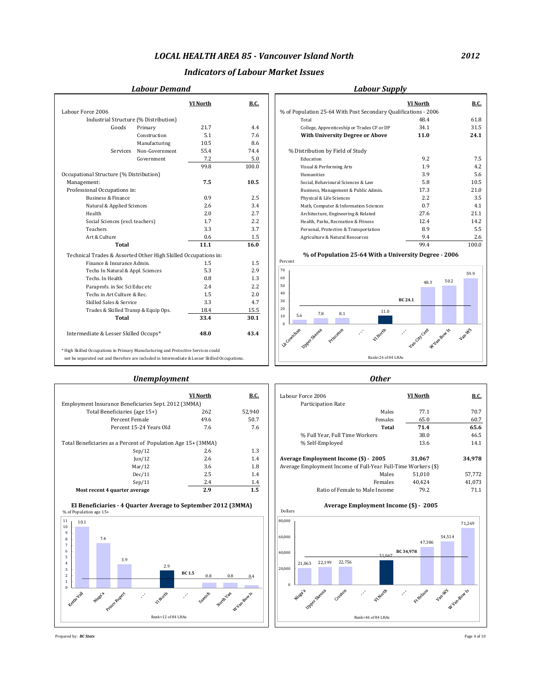## *Indicators of Labour Market Issues*

## *Labour Demand Labour Supply*

| <b>Labour Supp</b> |  |  |  |
|--------------------|--|--|--|
|--------------------|--|--|--|

|                                                                                               |                | <b>VI North</b> | B.C.  |                                                                               | VI North     | B.C.   |
|-----------------------------------------------------------------------------------------------|----------------|-----------------|-------|-------------------------------------------------------------------------------|--------------|--------|
| Labour Force 2006                                                                             |                |                 |       | % of Population 25-64 With Post Secondary Qualifications - 2006               |              |        |
| Industrial Structure (% Distribution)                                                         |                |                 |       | Total                                                                         | 48.4         | 61.8   |
| Goods                                                                                         | Primary        | 21.7            | 4.4   | College, Apprenticeship or Trades CF or DP                                    | 34.1         | 31.5   |
|                                                                                               | Construction   | 5.1             | 7.6   | <b>With University Degree or Above</b>                                        | 11.0         | 24.1   |
|                                                                                               | Manufacturing  | 10.5            | 8.6   |                                                                               |              |        |
| Services                                                                                      | Non-Government | 55.4            | 74.4  | % Distribution by Field of Study                                              |              |        |
|                                                                                               | Government     | 7.2             | 5.0   | Education                                                                     | 9.2          | 7.5    |
|                                                                                               |                | 99.8            | 100.0 | Visual & Performing Arts                                                      | 1.9          | 4.2    |
| Occupational Structure (% Distribution)                                                       |                |                 |       | Humanities                                                                    | 3.9          | 5.6    |
| Management:                                                                                   |                | 7.5             | 10.5  | Social, Behavioural Sciences & Law                                            | 5.8          | 10.5   |
| Professional Occupations in:                                                                  |                |                 |       | Business, Management & Public Admin.                                          | 17.3         | 21.0   |
| <b>Business &amp; Finance</b>                                                                 |                | 0.9             | 2.5   | Physical & Life Sciences                                                      | 2.2          | 3.5    |
| Natural & Applied Sciences                                                                    |                | 2.6             | 3.4   | Math, Computer & Information Sciences                                         | 0.7          | 4.1    |
| Health                                                                                        |                | 2.0             | 2.7   | Architecture, Engineering & Related                                           | 27.6         | 21.1   |
| Social Sciences (excl. teachers)                                                              |                | 1.7             | 2.2   | Health, Parks, Recreation & Fitness                                           | 12.4         | 14.2   |
| Teachers                                                                                      |                | 3.3             | 3.7   | Personal, Protective & Transportation                                         | 8.9          | 5.5    |
| Art & Culture                                                                                 |                | 0.6             | 1.5   | Agriculture & Natural Resources                                               | 9.4          | 2.6    |
| Total                                                                                         |                | 11.1            | 16.0  |                                                                               | 99.4         | 100.0  |
| Technical Trades & Assorted Other High Skilled Occupations in:                                |                |                 |       | % of Population 25-64 With a University Degree - 2006                         |              |        |
| Finance & Insurance Admin.                                                                    |                | 1.5             | 1.5   | Percent                                                                       |              |        |
| Techs In Natural & Appl. Sciences                                                             |                | 5.3             | 2.9   | 70                                                                            |              | 59.9   |
| Techs. In Health                                                                              |                | 0.8             | 1.3   | 60                                                                            |              | 50.2   |
| Paraprofs. in Soc Sci Educ etc                                                                |                | 2.4             | 2.2   | 50                                                                            | 48.3         |        |
| Techs in Art Culture & Rec.                                                                   |                | 1.5             | 2.0   | 40                                                                            |              |        |
| Skilled Sales & Service                                                                       |                | 3.3             | 4.7   | 30                                                                            | BC 24.1      |        |
| Trades & Skilled Transp & Equip Ops.                                                          |                | 18.4            | 15.5  | 20<br>11.0<br>8.1                                                             |              |        |
| Total                                                                                         |                | 33.4            | 30.1  | 7.8<br>5.6<br>10<br>$\theta$                                                  |              |        |
| Intermediate & Lesser Skilled Occups*                                                         |                | 48.0            | 43.4  | LyCowichan<br>Upper Steens<br>Princeton<br>VI Nords<br>$\mathcal{S}^{\prime}$ | Vancity Cent | Van-WS |
| * High Skilled Occupations in Primary Manufacturing and Protective Services could             |                |                 |       |                                                                               |              |        |
| not be separated out and therefore are included in Intermediate & Lesser Skilled Occupations. |                |                 |       | Rank=24 of 84 LHAs                                                            |              |        |

|                                  |                                       | <b>VI North</b> | <b>B.C.</b> |                                                                 | <b>VI</b> North | <b>B.C.</b> |
|----------------------------------|---------------------------------------|-----------------|-------------|-----------------------------------------------------------------|-----------------|-------------|
| rce 2006                         |                                       |                 |             | % of Population 25-64 With Post Secondary Qualifications - 2006 |                 |             |
|                                  | Industrial Structure (% Distribution) |                 |             | Total                                                           | 48.4            | 61.8        |
| Goods                            | Primary                               | 21.7            | 4.4         | College, Apprenticeship or Trades CF or DP                      | 34.1            | 31.5        |
|                                  | Construction                          | 5.1             | 7.6         | <b>With University Degree or Above</b>                          | 11.0            | 24.1        |
|                                  | Manufacturing                         | 10.5            | 8.6         |                                                                 |                 |             |
| Services                         | Non-Government                        | 55.4            | 74.4        | % Distribution by Field of Study                                |                 |             |
|                                  | Government                            | 7.2             | 5.0         | Education                                                       | 9.2             | 7.5         |
|                                  |                                       | 99.8            | 100.0       | Visual & Performing Arts                                        | 1.9             | 4.2         |
| nal Structure (% Distribution)   |                                       |                 |             | Humanities                                                      | 3.9             | 5.6         |
| ment:                            |                                       | 7.5             | 10.5        | Social, Behavioural Sciences & Law                              | 5.8             | 10.5        |
| onal Occupations in:             |                                       |                 |             | Business, Management & Public Admin.                            | 17.3            | 21.0        |
| Business & Finance               |                                       | 0.9             | 2.5         | Physical & Life Sciences                                        | 2.2             | 3.5         |
| Natural & Applied Sciences       |                                       | 2.6             | 3.4         | Math, Computer & Information Sciences                           | 0.7             | 4.1         |
| Health                           |                                       | 2.0             | 2.7         | Architecture, Engineering & Related                             | 27.6            | 21.1        |
| Social Sciences (excl. teachers) |                                       | 1.7             | 2.2         | Health, Parks, Recreation & Fitness                             | 12.4            | 14.2        |
| Teachers                         |                                       | 3.3             | 3.7         | Personal, Protective & Transportation                           | 8.9             | 5.5         |
| Art & Culture                    |                                       | 0.6             | 1.5         | Agriculture & Natural Resources                                 | 9.4             | 2.6         |



#### *Unemployment Other*

|                                                               | VI North | <b>B.C.</b> | Labour Force 2006             |
|---------------------------------------------------------------|----------|-------------|-------------------------------|
| Employment Insurance Beneficiaries Sept. 2012 (3MMA)          |          |             | <b>Participation Rate</b>     |
| Total Beneficiaries (age 15+)                                 | 262      | 52.940      |                               |
| Percent Female                                                | 49.6     | 50.7        |                               |
| Percent 15-24 Years Old                                       | 7.6      | 7.6         |                               |
|                                                               |          |             | % Full Year, Full T           |
| Total Beneficiaries as a Percent of Population Age 15+ (3MMA) |          |             | % Self-Employed               |
| Sep/12                                                        | 2.6      | 1.3         |                               |
| $\text{Iun}/12$                                               | 2.6      | 1.4         | <b>Average Employment Inc</b> |
| Mar/12                                                        | 3.6      | 1.8         | Average Employment Inco       |
| Dec/11                                                        | 2.5      | 1.4         |                               |
| Sep/11                                                        | 2.4      | 1.4         |                               |
| Most recent 4 quarter average                                 | 2.9      | 1.5         | Ratio of Fer                  |





| <b>VI</b> North | <b>B.C.</b>                                                                                                           | Labour Force 2006                     | <b>VI</b> North | <b>B.C.</b>                                                                                                                                      |
|-----------------|-----------------------------------------------------------------------------------------------------------------------|---------------------------------------|-----------------|--------------------------------------------------------------------------------------------------------------------------------------------------|
|                 |                                                                                                                       | Participation Rate                    |                 |                                                                                                                                                  |
| 262             | 52.940                                                                                                                |                                       | 77.1            | 70.7                                                                                                                                             |
| 49.6            | 50.7                                                                                                                  |                                       | 65.0            | 60.7                                                                                                                                             |
| 7.6             | 7.6                                                                                                                   |                                       | 71.4            | 65.6                                                                                                                                             |
|                 |                                                                                                                       | % Full Year. Full Time Workers        | 38.0            | 46.5                                                                                                                                             |
|                 |                                                                                                                       | % Self-Employed                       | 13.6            | 14.1                                                                                                                                             |
| 2.6             | 1.3                                                                                                                   |                                       |                 |                                                                                                                                                  |
| 2.6             | 1.4                                                                                                                   | Average Employment Income (\$) - 2005 | 31.067          | 34.978                                                                                                                                           |
| 3.6             | 1.8                                                                                                                   |                                       |                 |                                                                                                                                                  |
| 2.5             | 1.4                                                                                                                   |                                       | 51.010          | 57.772                                                                                                                                           |
| 2.4             | 1.4                                                                                                                   |                                       | 40.424          | 41.073                                                                                                                                           |
| 2.9             | 1.5                                                                                                                   |                                       | 79.2            | 71.1                                                                                                                                             |
|                 | Employment Insurance Beneficiaries Sept. 2012 (3MMA)<br>Total Beneficiaries as a Percent of Population Age 15+ (3MMA) |                                       |                 | Males<br>Females<br>Total<br>Average Employment Income of Full-Year Full-Time Workers (\$)<br>Males<br>Females<br>Ratio of Female to Male Income |





Prepared by: *BC Stats* Page 4 of 10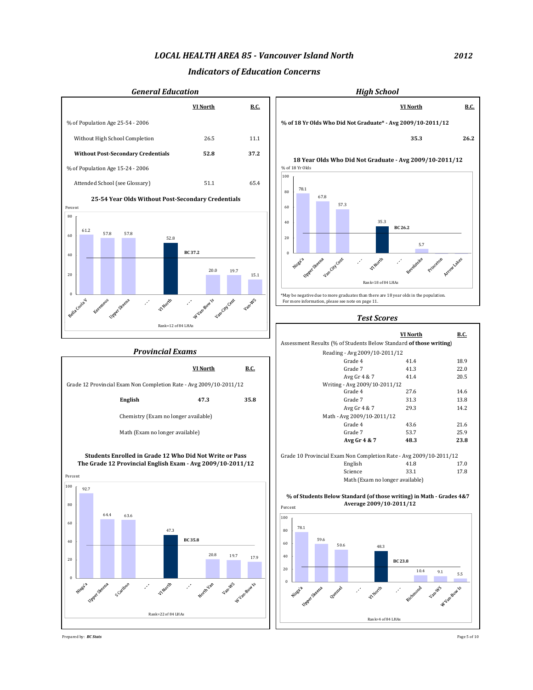### *Indicators of Education Concerns*



Prepared by: *BC Stats* Page 5 of 10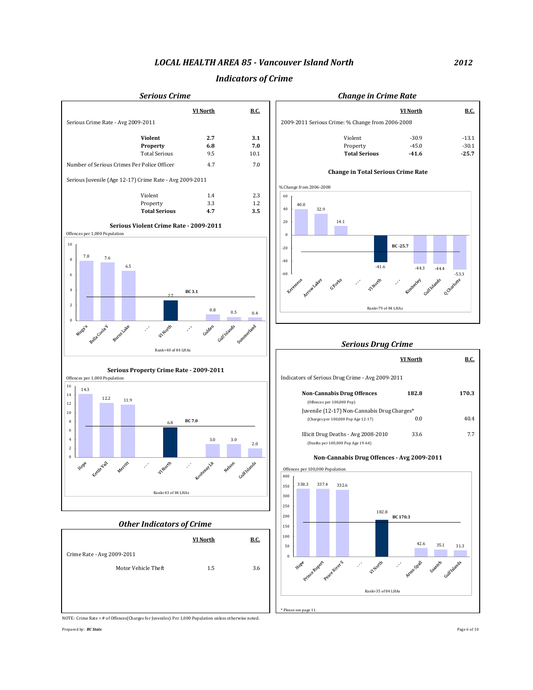### *Indicators of Crime*



*2012*

NOTE: Crime Rate = # of Offences(Charges for Juveniles) Per 1,000 Population unless otherwise noted.

Prepared by: *BC Stats* Page 6 of 10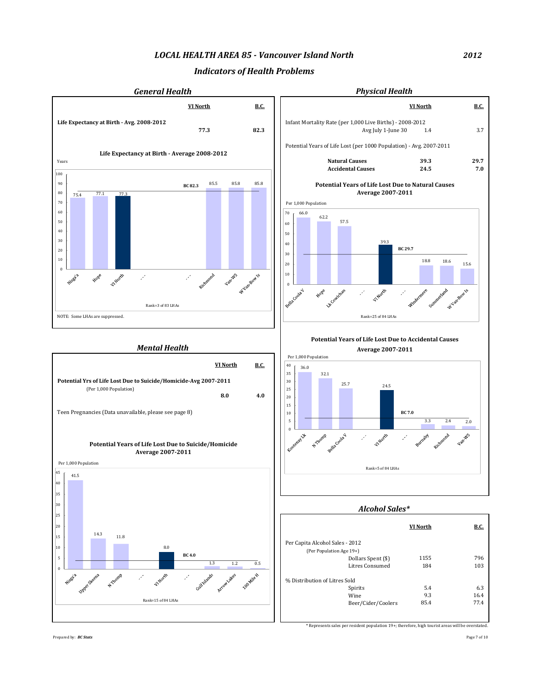## *Indicators of Health Problems*



*2012*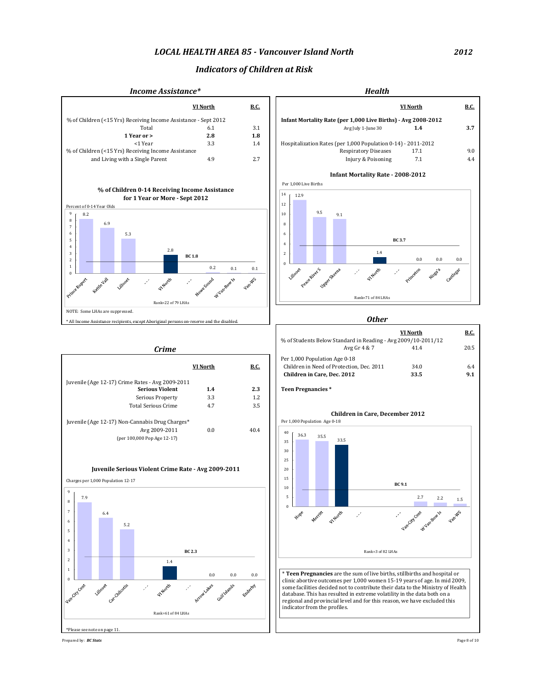## *Indicators of Children at Risk*

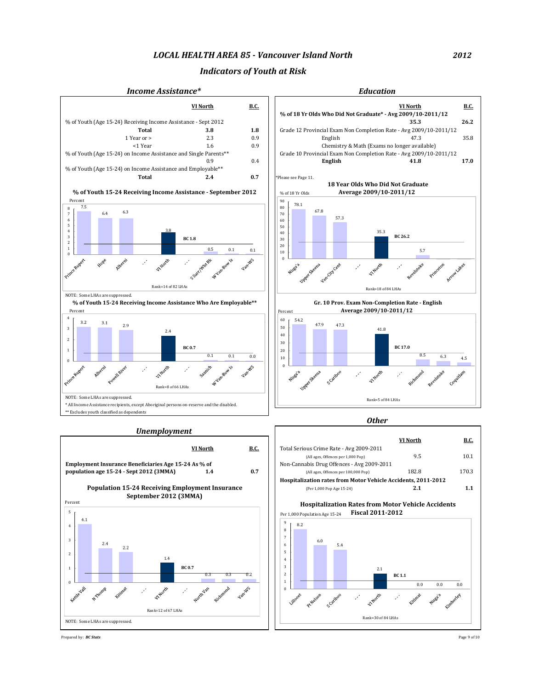### *Indicators of Youth at Risk*



Prepared by: *BC Stats* Page 9 of 10

*2012*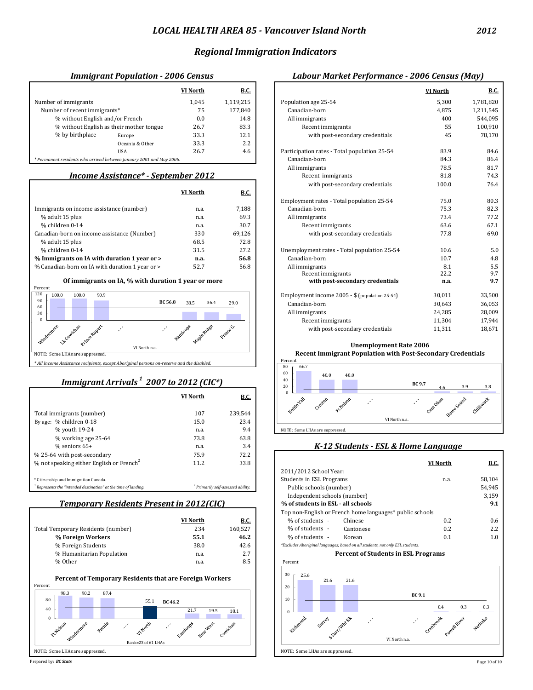## *Regional Immigration Indicators*

## *Immigrant Population - 2006 Census Labour Market Performance - 2006 Census (May)*

|                                                                     |                 | VI North | <b>B.C.</b> |                                              | VI North | <b>B.C.</b> |
|---------------------------------------------------------------------|-----------------|----------|-------------|----------------------------------------------|----------|-------------|
| Number of immigrants                                                |                 | 1,045    | 1,119,215   | Population age 25-54                         | 5,300    | 1,781,820   |
| Number of recent immigrants*                                        |                 | 75       | 177,840     | Canadian-born                                | 4,875    | 1,211,545   |
| % without English and/or French                                     |                 | 0.0      | 14.8        | All immigrants                               | 400      | 544,095     |
| % without English as their mother tongue                            |                 | 26.7     | 83.3        | Recent immigrants                            | 55       | 100,910     |
| % by birthplace                                                     | Europe          | 33.3     | 12.1        | with post-secondary credentials              | 45       | 78.170      |
|                                                                     | Oceania & Other | 33.3     | 2.2         |                                              |          |             |
|                                                                     | <b>USA</b>      | 26.7     | 4.6         | Participation rates - Total population 25-54 | 83.9     | 84.6        |
| * Permanent residents who arrived hetween January 2001 and May 2006 |                 |          |             | Canadian-horn                                | 843      | 864         |

## *Income Assistance\* - September 2012*

Г

| VI North | <u>B.C.</u> |                                             |      |      |
|----------|-------------|---------------------------------------------|------|------|
|          |             | Employment rates - Total population 25-54   | 75.0 | 80.3 |
| n.a.     | 7,188       | Canadian-born                               | 75.3 | 82.3 |
| n.a.     | 69.3        | All immigrants                              | 73.4 | 77.2 |
| n.a.     | 30.7        | Recent immigrants                           | 63.6 | 67.1 |
| 330      | 69,126      | with post-secondary credentials             | 77.8 | 69.0 |
| 68.5     | 72.8        |                                             |      |      |
| 31.5     | 27.2        | Unemployment rates - Total population 25-54 | 10.6 | 5.0  |
| n.a.     | 56.8        | Canadian-born                               | 10.7 | 4.8  |
| 52.7     | 56.8        | All immigrants                              | 8.1  | 5.5  |
|          |             |                                             |      |      |

#### **Of immigrants on IA, % with duration 1 year or more**



## *Immigrant Arrivals 1 2007 to 2012 (CIC\*)*

|                                                                   | VI North | <b>B.C.</b>                                   |                                                   |
|-------------------------------------------------------------------|----------|-----------------------------------------------|---------------------------------------------------|
| Total immigrants (number)                                         | 107      | 239,544                                       |                                                   |
| By age: % children 0-18                                           | 15.0     | 23.4                                          | VI North n.a.                                     |
| % youth 19-24                                                     | n.a.     | 9.4                                           | NOTE: Some LHAs are suppressed.                   |
| % working age 25-64                                               | 73.8     | 63.8                                          |                                                   |
| $%$ seniors 65+                                                   | n.a.     | 3.4                                           | K-12 Students - ESL & Home Language               |
| % 25-64 with post-secondary                                       | 75.9     | 72.2                                          |                                                   |
| % not speaking either English or French <sup>2</sup>              | 11.2     | 33.8                                          | B.C.<br><b>VI North</b>                           |
|                                                                   |          |                                               | 2011/2012 School Year:                            |
| * Citizenship and Immigration Canada.                             |          |                                               | 58,104<br><b>Students in ESL Programs</b><br>n.a. |
| $1$ Represents the "intended destination" at the time of landing. |          | <sup>2</sup> Primarily self-assessed ability. | Public schools (number)<br>54,945                 |

## *Temporary Residents Present in 2012(CIC)*

|                                    | VI North | B.C.    | % of students -<br>Chinese                                                    | 0.2 | 0.6 |
|------------------------------------|----------|---------|-------------------------------------------------------------------------------|-----|-----|
| Total Temporary Residents (number) | 234      | 160.527 | % of students -<br>Cantonese                                                  | 0.2 | 2.2 |
| % Foreign Workers                  | 55.1     | 46.2    | % of students -<br>Korean                                                     | 0.1 | 1.0 |
| % Foreign Students                 | 38.0     | 42.6    | *Excludes Aboriginal languages; based on all students, not only ESL students. |     |     |
| % Humanitarian Population          | n.a.     | 2.7     | <b>Percent of Students in ESL Programs</b>                                    |     |     |
| % Other                            | n.a.     | 8.5     | Percent                                                                       |     |     |



Prepared by: *BC Stats* Page 10 of 10

| Immigrant Population - 2006 Census                                   |                      |             | Labour Market Performance - 2006 Census (May)  |          |             |
|----------------------------------------------------------------------|----------------------|-------------|------------------------------------------------|----------|-------------|
|                                                                      | <b>VI North</b>      | <b>B.C.</b> |                                                | VI North | <b>B.C.</b> |
| Number of immigrants                                                 | 1.045                | 1,119,215   | Population age 25-54                           | 5,300    | 1,781,820   |
| Number of recent immigrants*                                         | 75                   | 177,840     | Canadian-born                                  | 4,875    | 1,211,545   |
| % without English and/or French                                      | 0.0                  | 14.8        | All immigrants                                 | 400      | 544,095     |
| % without English as their mother tongue                             | 26.7                 | 83.3        | Recent immigrants                              | 55       | 100,910     |
| % by birthplace<br>Europe                                            | 33.3                 | 12.1        | with post-secondary credentials                | 45       | 78,170      |
| Oceania & Other                                                      | 33.3                 | 2.2         |                                                |          |             |
| <b>USA</b>                                                           | 26.7                 | 4.6         | Participation rates - Total population 25-54   | 83.9     | 84.6        |
| * Permanent residents who arrived between January 2001 and May 2006. |                      |             | Canadian-born                                  | 84.3     | 86.4        |
|                                                                      |                      |             | All immigrants                                 | 78.5     | 81.7        |
| <b>Income Assistance*</b> - September 2012                           |                      |             | Recent immigrants                              | 81.8     | 74.3        |
|                                                                      |                      |             | with post-secondary credentials                | 100.0    | 76.4        |
|                                                                      | <b>VI North</b>      | <b>B.C.</b> |                                                |          |             |
|                                                                      |                      |             | Employment rates - Total population 25-54      | 75.0     | 80.3        |
| Immigrants on income assistance (number)                             | n.a.                 | 7,188       | Canadian-born                                  | 75.3     | 82.3        |
| % adult 15 plus                                                      | n.a.                 | 69.3        | All immigrants                                 | 73.4     | 77.2        |
| % children 0-14                                                      | n.a.                 | 30.7        | Recent immigrants                              | 63.6     | 67.1        |
| Canadian-born on income assistance (Number)                          | 330                  | 69,126      | with post-secondary credentials                | 77.8     | 69.0        |
| % adult 15 plus                                                      | 68.5                 | 72.8        |                                                |          |             |
| % children 0-14                                                      | 31.5                 | 27.2        | Unemployment rates - Total population 25-54    | 10.6     | 5.0         |
| % Immigrants on IA with duration 1 year or >                         | n.a.                 | 56.8        | Canadian-born                                  | 10.7     | 4.8         |
| % Canadian-born on IA with duration 1 year or >                      | 52.7                 | 56.8        | All immigrants                                 | 8.1      | 5.5         |
|                                                                      |                      |             | Recent immigrants                              | 22.2     | 9.7         |
| Of immigrants on IA, % with duration 1 year or more                  |                      |             | with post-secondary credentials                | n.a.     | 9.7         |
| Percent<br>120<br>100.0<br>90.9<br>100.0                             |                      |             | Employment income 2005 - \$ (population 25-54) |          |             |
| 90<br><b>BC 56.8</b>                                                 | 38.5<br>36.4         | 29.0        |                                                | 30,011   | 33,500      |
| 60                                                                   |                      |             | Canadian-born                                  | 30.643   | 36,053      |
| 30<br>$\bf{0}$                                                       |                      |             | All immigrants                                 | 24,285   | 28,009      |
|                                                                      |                      |             | Recent immigrants                              | 11,304   | 17,944      |
| Lik Cowichan<br>Windermere<br>orince Rupert                          | Kamloops Maple Ridge | Prince G.   | with post-secondary credentials                | 11,311   | 18,671      |
|                                                                      |                      |             | $U_{11}$ cannot come on the $0.000$            |          |             |

# **Unemployment Rate 2006**



### *K-12 Students - ESL & Home Language*

| r with post-secondal y                             | 75.Y     | 12.4                                          |                                                                               |        |
|----------------------------------------------------|----------|-----------------------------------------------|-------------------------------------------------------------------------------|--------|
| eaking either English or French <sup>2</sup>       | 11.2     | 33.8                                          | VI North                                                                      | B.C.   |
|                                                    |          |                                               | 2011/2012 School Year:                                                        |        |
| p and Immigration Canada.                          |          |                                               | <b>Students in ESL Programs</b><br>n.a.                                       | 58.104 |
| the "intended destination" at the time of landing. |          | <sup>2</sup> Primarily self-assessed ability. | Public schools (number)                                                       | 54,945 |
|                                                    |          |                                               | Independent schools (number)                                                  | 3,159  |
| <b>Temporary Residents Present in 2012(CIC)</b>    |          |                                               | % of students in ESL - all schools                                            | 9.1    |
|                                                    |          |                                               | Top non-English or French home languages* public schools                      |        |
|                                                    | VI North | <b>B.C.</b>                                   | % of students -<br>0.2<br>Chinese                                             | 0.6    |
| mporary Residents (number)                         | 234      | 160.527                                       | % of students -<br>0.2<br>Cantonese                                           | 2.2    |
| <b>% Foreign Workers</b>                           | 55.1     | 46.2                                          | 0.1<br>% of students -<br>Korean                                              | 1.0    |
| <b>% Foreign Students</b>                          | 38.0     | 42.6                                          | *Excludes Aboriginal languages; based on all students, not only ESL students. |        |
| % Humanitarian Population                          | n.a.     | 2.7                                           | <b>Percent of Students in ESL Programs</b>                                    |        |
| % Other                                            | n.a.     | 8.5                                           | Percent                                                                       |        |
|                                                    |          |                                               |                                                                               |        |